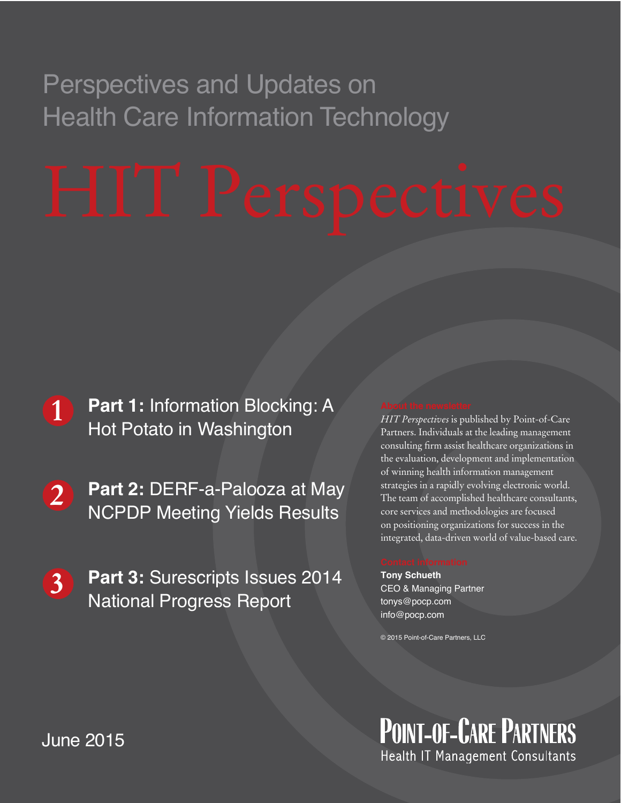## Perspectives and Updates on Health Care Information Technology

- **1 Part 1:** Information Blocking: A Hot Potato in Washington
- **2 Part 2:** DERF-a-Palooza at May NCPDP Meeting Yields Results
- **3 Part 3:** Surescripts Issues 2014 National Progress Report

*HIT Perspectives* is published by Point-of-Care Partners. Individuals at the leading management consulting firm assist healthcare organizations in the evaluation, development and implementation of winning health information management strategies in a rapidly evolving electronic world. The team of accomplished healthcare consultants, core services and methodologies are focused on positioning organizations for success in the integrated, data-driven world of value-based care.

**Tony Schueth** CEO & Managing Partner tonys@pocp.com info@pocp.com

© 2015 Point-of-Care Partners, LLC

**POINT-OF-CARE PARTNERS** Health IT Management Consultants

**June 2015**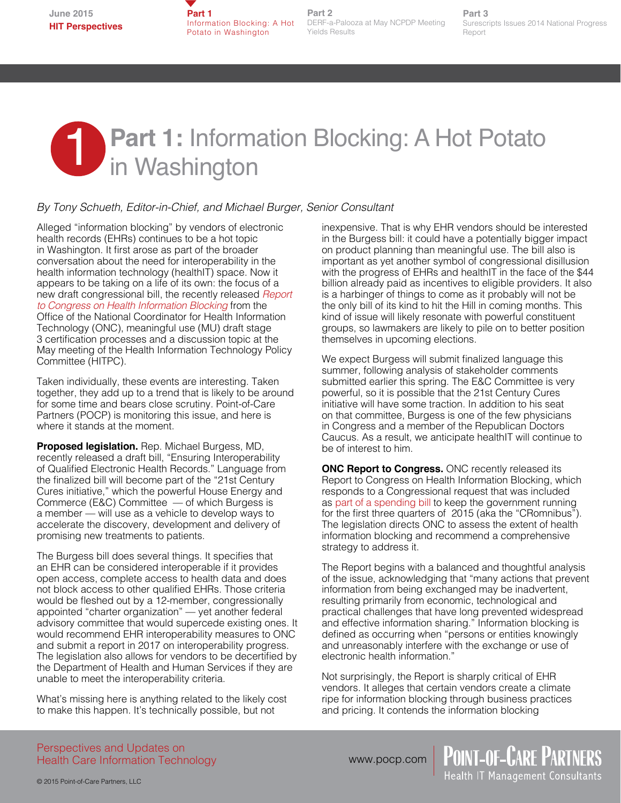**Part 1** Information Blocking: A Hot Potato in Washington

**Part 2** DERF-a-Palooza at May NCPDP Meeting Yields Results

**Part 3** Surescripts Issues 2014 National Progress Report

# **Part 1: Information Blocking: A Hot Potato 1 in Washington**

### *By Tony Schueth, Editor-in-Chief, and Michael Burger, Senior Consultant*

Alleged "information blocking" by vendors of electronic health records (EHRs) continues to be a hot topic in Washington. It first arose as part of the broader conversation about the need for interoperability in the health information technology (healthIT) space. Now it appears to be taking on a life of its own: the focus of a new draft congressional bill, the recently released *[Report](http://www.healthit.gov/sites/default/files/reports/info_blocking_040915.pdf)  [to Congress on Health Information Blocking](http://www.healthit.gov/sites/default/files/reports/info_blocking_040915.pdf)* from the Office of the National Coordinator for Health Information Technology (ONC), meaningful use (MU) draft stage 3 certification processes and a discussion topic at the May meeting of the Health Information Technology Policy Committee (HITPC).

Taken individually, these events are interesting. Taken together, they add up to a trend that is likely to be around for some time and bears close scrutiny. Point-of-Care Partners (POCP) is monitoring this issue, and here is where it stands at the moment.

**Proposed legislation.** Rep. Michael Burgess, MD, recently released a draft bill, "Ensuring Interoperability of Qualified Electronic Health Records." Language from the finalized bill will become part of the "21st Century Cures initiative," which the powerful House Energy and Commerce (E&C) Committee — of which Burgess is a member — will use as a vehicle to develop ways to accelerate the discovery, development and delivery of promising new treatments to patients.

The Burgess bill does several things. It specifies that an EHR can be considered interoperable if it provides open access, complete access to health data and does not block access to other qualified EHRs. Those criteria would be fleshed out by a 12-member, congressionally appointed "charter organization" — yet another federal advisory committee that would supercede existing ones. It would recommend EHR interoperability measures to ONC and submit a report in 2017 on interoperability progress. The legislation also allows for vendors to be decertified by the Department of Health and Human Services if they are unable to meet the interoperability criteria.

What's missing here is anything related to the likely cost to make this happen. It's technically possible, but not

inexpensive. That is why EHR vendors should be interested in the Burgess bill: it could have a potentially bigger impact on product planning than meaningful use. The bill also is important as yet another symbol of congressional disillusion with the progress of EHRs and health IT in the face of the \$44 billion already paid as incentives to eligible providers. It also is a harbinger of things to come as it probably will not be the only bill of its kind to hit the Hill in coming months. This kind of issue will likely resonate with powerful constituent groups, so lawmakers are likely to pile on to better position themselves in upcoming elections.

We expect Burgess will submit finalized language this summer, following analysis of stakeholder comments submitted earlier this spring. The E&C Committee is very powerful, so it is possible that the 21st Century Cures initiative will have some traction. In addition to his seat on that committee, Burgess is one of the few physicians in Congress and a member of the Republican Doctors Caucus. As a result, we anticipate healthIT will continue to be of interest to him.

**ONC Report to Congress.** ONC recently released its Report to Congress on Health Information Blocking, which responds to a Congressional request that was included as [part of a spending bill](http://www.gpo.gov/fdsys/pkg/BILLS-113hr83enr/pdf/BILLS-113hr83enr.pdf) to keep the government running for the first three quarters of 2015 (aka the "CRomnibus"). The legislation directs ONC to assess the extent of health information blocking and recommend a comprehensive strategy to address it.

The Report begins with a balanced and thoughtful analysis of the issue, acknowledging that "many actions that prevent information from being exchanged may be inadvertent, resulting primarily from economic, technological and practical challenges that have long prevented widespread and effective information sharing." Information blocking is defined as occurring when "persons or entities knowingly and unreasonably interfere with the exchange or use of electronic health information."

Not surprisingly, the Report is sharply critical of EHR vendors. It alleges that certain vendors create a climate ripe for information blocking through business practices and pricing. It contends the information blocking

> POINT-OF-CARE PARTNERS Health IT Management Consultants

Perspectives and Updates on Health Care Information Technology

www.pocp.com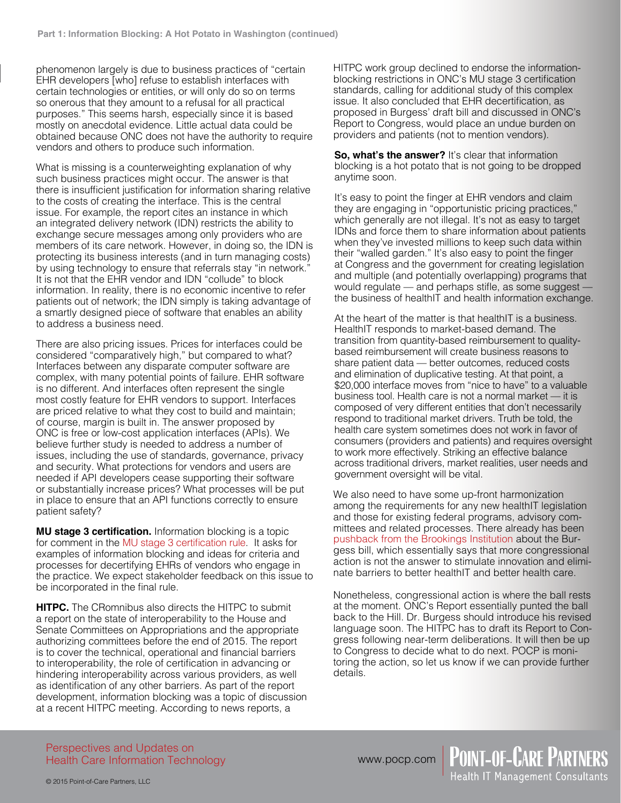phenomenon largely is due to business practices of "certain EHR developers [who] refuse to establish interfaces with certain technologies or entities, or will only do so on terms so onerous that they amount to a refusal for all practical purposes." This seems harsh, especially since it is based mostly on anecdotal evidence. Little actual data could be obtained because ONC does not have the authority to require vendors and others to produce such information.

What is missing is a counterweighting explanation of why such business practices might occur. The answer is that there is insufficient justification for information sharing relative to the costs of creating the interface. This is the central issue. For example, the report cites an instance in which an integrated delivery network (IDN) restricts the ability to exchange secure messages among only providers who are members of its care network. However, in doing so, the IDN is protecting its business interests (and in turn managing costs) by using technology to ensure that referrals stay "in network.' It is not that the EHR vendor and IDN "collude" to block information. In reality, there is no economic incentive to refer patients out of network; the IDN simply is taking advantage of a smartly designed piece of software that enables an ability to address a business need.

There are also pricing issues. Prices for interfaces could be considered "comparatively high," but compared to what? Interfaces between any disparate computer software are complex, with many potential points of failure. EHR software is no different. And interfaces often represent the single most costly feature for EHR vendors to support. Interfaces are priced relative to what they cost to build and maintain; of course, margin is built in. The answer proposed by ONC is free or low-cost application interfaces (APIs). We believe further study is needed to address a number of issues, including the use of standards, governance, privacy and security. What protections for vendors and users are needed if API developers cease supporting their software or substantially increase prices? What processes will be put in place to ensure that an API functions correctly to ensure patient safety?

**MU stage 3 certification.** Information blocking is a topic for comment in the [MU stage 3 certification rule](https://s3.amazonaws.com/public-inspection.federalregister.gov/2015-06612.pdf). It asks for examples of information blocking and ideas for criteria and processes for decertifying EHRs of vendors who engage in the practice. We expect stakeholder feedback on this issue to be incorporated in the final rule.

**HITPC.** The CRomnibus also directs the HITPC to submit a report on the state of interoperability to the House and Senate Committees on Appropriations and the appropriate authorizing committees before the end of 2015. The report is to cover the technical, operational and financial barriers to interoperability, the role of certification in advancing or hindering interoperability across various providers, as well as identification of any other barriers. As part of the report development, information blocking was a topic of discussion at a recent HITPC meeting. According to news reports, a

HITPC work group declined to endorse the informationblocking restrictions in ONC's MU stage 3 certification standards, calling for additional study of this complex issue. It also concluded that EHR decertification, as proposed in Burgess' draft bill and discussed in ONC's Report to Congress, would place an undue burden on providers and patients (not to mention vendors).

**So, what's the answer?** It's clear that information blocking is a hot potato that is not going to be dropped anytime soon.

It's easy to point the finger at EHR vendors and claim they are engaging in "opportunistic pricing practices," which generally are not illegal. It's not as easy to target IDNs and force them to share information about patients when they've invested millions to keep such data within their "walled garden." It's also easy to point the finger at Congress and the government for creating legislation and multiple (and potentially overlapping) programs that would regulate — and perhaps stifle, as some suggest the business of healthIT and health information exchange.

At the heart of the matter is that health IT is a business. HealthIT responds to market-based demand. The transition from quantity-based reimbursement to qualitybased reimbursement will create business reasons to share patient data — better outcomes, reduced costs and elimination of duplicative testing. At that point, a \$20,000 interface moves from "nice to have" to a valuable business tool. Health care is not a normal market — it is composed of very different entities that don't necessarily respond to traditional market drivers. Truth be told, the health care system sometimes does not work in favor of consumers (providers and patients) and requires oversight to work more effectively. Striking an effective balance across traditional drivers, market realities, user needs and government oversight will be vital.

We also need to have some up-front harmonization among the requirements for any new healthIT legislation and those for existing federal programs, advisory committees and related processes. There already has been pushback from the [Brookings Institution](http://www.brookings.edu/blogs/techtank/posts/2015/03/19-hiteach-ehr-interoperability-yaraghi) about the Burgess bill, which essentially says that more congressional action is not the answer to stimulate innovation and eliminate barriers to better healthIT and better health care.

Nonetheless, congressional action is where the ball rests at the moment. ONC's Report essentially punted the ball back to the Hill. Dr. Burgess should introduce his revised language soon. The HITPC has to draft its Report to Congress following near-term deliberations. It will then be up to Congress to decide what to do next. POCP is monitoring the action, so let us know if we can provide further details.

> **POINT-OF-CARE PARTNERS** Health IT Management Consultants

Perspectives and Updates on Health Care Information Technology

www.pocp.com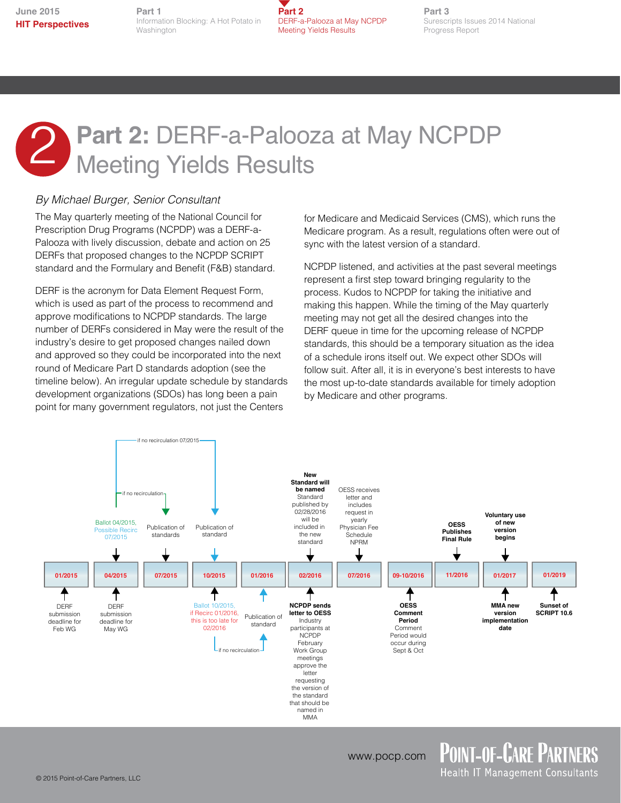**Part 1** Information Blocking: A Hot Potato in Washington



**Part 3** Surescripts Issues 2014 National Progress Report

## **Part 2:** DERF-a-Palooza at May NCPDP 2 Part 2: DERF-a-Palooz<br>Meeting Yields Results

### *By Michael Burger, Senior Consultant*

The May quarterly meeting of the National Council for Prescription Drug Programs (NCPDP) was a DERF-a-Palooza with lively discussion, debate and action on 25 DERFs that proposed changes to the NCPDP SCRIPT standard and the Formulary and Benefit (F&B) standard.

DERF is the acronym for Data Element Request Form, which is used as part of the process to recommend and approve modifications to NCPDP standards. The large number of DERFs considered in May were the result of the industry's desire to get proposed changes nailed down and approved so they could be incorporated into the next round of Medicare Part D standards adoption (see the timeline below). An irregular update schedule by standards development organizations (SDOs) has long been a pain point for many government regulators, not just the Centers

for Medicare and Medicaid Services (CMS), which runs the Medicare program. As a result, regulations often were out of sync with the latest version of a standard.

NCPDP listened, and activities at the past several meetings represent a first step toward bringing regularity to the process. Kudos to NCPDP for taking the initiative and making this happen. While the timing of the May quarterly meeting may not get all the desired changes into the DERF queue in time for the upcoming release of NCPDP standards, this should be a temporary situation as the idea of a schedule irons itself out. We expect other SDOs will follow suit. After all, it is in everyone's best interests to have the most up-to-date standards available for timely adoption by Medicare and other programs.



Health IT Management Consultants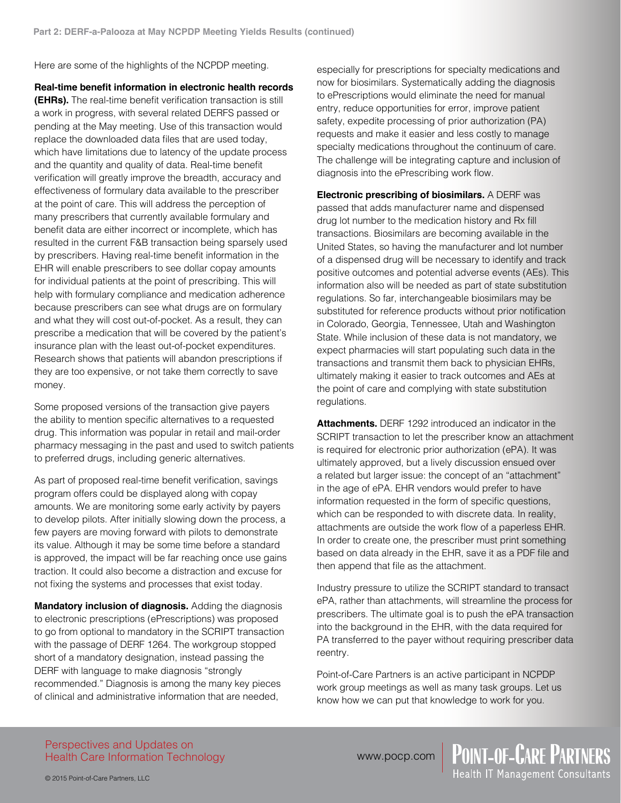Here are some of the highlights of the NCPDP meeting.

**Real-time benefit information in electronic health records** 

**(EHRs).** The real-time benefit verification transaction is still a work in progress, with several related DERFS passed or pending at the May meeting. Use of this transaction would replace the downloaded data files that are used today, which have limitations due to latency of the update process and the quantity and quality of data. Real-time benefit verification will greatly improve the breadth, accuracy and effectiveness of formulary data available to the prescriber at the point of care. This will address the perception of many prescribers that currently available formulary and benefit data are either incorrect or incomplete, which has resulted in the current F&B transaction being sparsely used by prescribers. Having real-time benefit information in the EHR will enable prescribers to see dollar copay amounts for individual patients at the point of prescribing. This will help with formulary compliance and medication adherence because prescribers can see what drugs are on formulary and what they will cost out-of-pocket. As a result, they can prescribe a medication that will be covered by the patient's insurance plan with the least out-of-pocket expenditures. Research shows that patients will abandon prescriptions if they are too expensive, or not take them correctly to save money.

Some proposed versions of the transaction give payers the ability to mention specific alternatives to a requested drug. This information was popular in retail and mail-order pharmacy messaging in the past and used to switch patients to preferred drugs, including generic alternatives.

As part of proposed real-time benefit verification, savings program offers could be displayed along with copay amounts. We are monitoring some early activity by payers to develop pilots. After initially slowing down the process, a few payers are moving forward with pilots to demonstrate its value. Although it may be some time before a standard is approved, the impact will be far reaching once use gains traction. It could also become a distraction and excuse for not fixing the systems and processes that exist today.

**Mandatory inclusion of diagnosis.** Adding the diagnosis to electronic prescriptions (ePrescriptions) was proposed to go from optional to mandatory in the SCRIPT transaction with the passage of DERF 1264. The workgroup stopped short of a mandatory designation, instead passing the DERF with language to make diagnosis "strongly recommended." Diagnosis is among the many key pieces of clinical and administrative information that are needed,

especially for prescriptions for specialty medications and now for biosimilars. Systematically adding the diagnosis to ePrescriptions would eliminate the need for manual entry, reduce opportunities for error, improve patient safety, expedite processing of prior authorization (PA) requests and make it easier and less costly to manage specialty medications throughout the continuum of care. The challenge will be integrating capture and inclusion of diagnosis into the ePrescribing work flow.

**Electronic prescribing of biosimilars.** A DERF was passed that adds manufacturer name and dispensed drug lot number to the medication history and Rx fill transactions. Biosimilars are becoming available in the United States, so having the manufacturer and lot number of a dispensed drug will be necessary to identify and track positive outcomes and potential adverse events (AEs). This information also will be needed as part of state substitution regulations. So far, interchangeable biosimilars may be substituted for reference products without prior notification in Colorado, Georgia, Tennessee, Utah and Washington State. While inclusion of these data is not mandatory, we expect pharmacies will start populating such data in the transactions and transmit them back to physician EHRs, ultimately making it easier to track outcomes and AEs at the point of care and complying with state substitution regulations.

**Attachments.** DERF 1292 introduced an indicator in the SCRIPT transaction to let the prescriber know an attachment is required for electronic prior authorization (ePA). It was ultimately approved, but a lively discussion ensued over a related but larger issue: the concept of an "attachment" in the age of ePA. EHR vendors would prefer to have information requested in the form of specific questions, which can be responded to with discrete data. In reality, attachments are outside the work flow of a paperless EHR. In order to create one, the prescriber must print something based on data already in the EHR, save it as a PDF file and then append that file as the attachment.

Industry pressure to utilize the SCRIPT standard to transact ePA, rather than attachments, will streamline the process for prescribers. The ultimate goal is to push the ePA transaction into the background in the EHR, with the data required for PA transferred to the payer without requiring prescriber data reentry.

Point-of-Care Partners is an active participant in NCPDP work group meetings as well as many task groups. Let us know how we can put that knowledge to work for you.

Perspectives and Updates on Health Care Information Technology www.pocp.com | POINT-OF-CARE PARTNERS<br>Health IT Management Consultants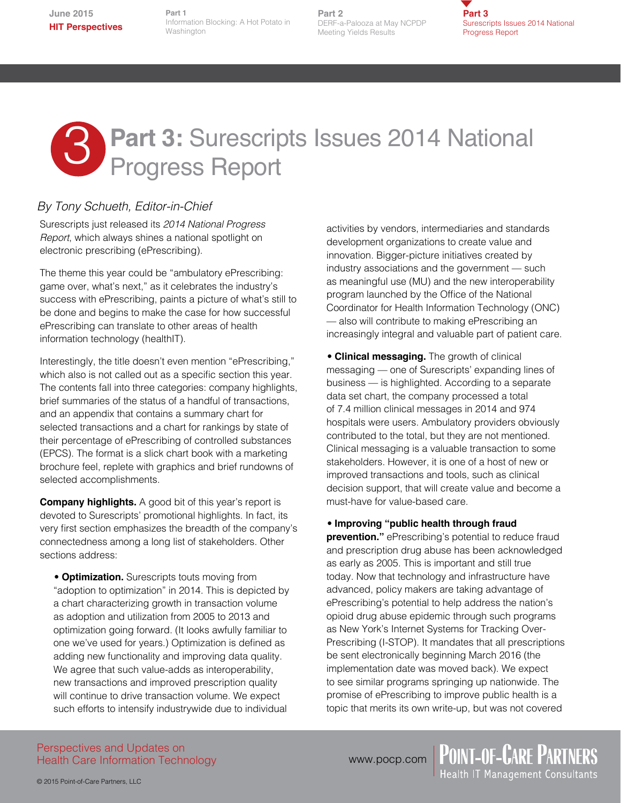**Part 1** Information Blocking: A Hot Potato in Washington

**Part 2** DERF-a-Palooza at May NCPDP Meeting Yields Results

**Part 3** Surescripts Issues 2014 National Progress Report

# **Part 3: Surescripts Issues 2014 National Progress Report**

### *By Tony Schueth, Editor-in-Chief*

Surescripts just released its *2014 National Progress Report*, which always shines a national spotlight on electronic prescribing (ePrescribing).

The theme this year could be "ambulatory ePrescribing: game over, what's next," as it celebrates the industry's success with ePrescribing, paints a picture of what's still to be done and begins to make the case for how successful ePrescribing can translate to other areas of health information technology (healthIT).

Interestingly, the title doesn't even mention "ePrescribing," which also is not called out as a specific section this year. The contents fall into three categories: company highlights, brief summaries of the status of a handful of transactions, and an appendix that contains a summary chart for selected transactions and a chart for rankings by state of their percentage of ePrescribing of controlled substances (EPCS). The format is a slick chart book with a marketing brochure feel, replete with graphics and brief rundowns of selected accomplishments.

**Company highlights.** A good bit of this year's report is devoted to Surescripts' promotional highlights. In fact, its very first section emphasizes the breadth of the company's connectedness among a long list of stakeholders. Other sections address:

• **Optimization.** Surescripts touts moving from "adoption to optimization" in 2014. This is depicted by a chart characterizing growth in transaction volume as adoption and utilization from 2005 to 2013 and optimization going forward. (It looks awfully familiar to one we've used for years.) Optimization is defined as adding new functionality and improving data quality. We agree that such value-adds as interoperability, new transactions and improved prescription quality will continue to drive transaction volume. We expect such efforts to intensify industrywide due to individual

activities by vendors, intermediaries and standards development organizations to create value and innovation. Bigger-picture initiatives created by industry associations and the government — such as meaningful use (MU) and the new interoperability program launched by the Office of the National Coordinator for Health Information Technology (ONC) — also will contribute to making ePrescribing an increasingly integral and valuable part of patient care.

• **Clinical messaging.** The growth of clinical messaging — one of Surescripts' expanding lines of business — is highlighted. According to a separate data set chart, the company processed a total of 7.4 million clinical messages in 2014 and 974 hospitals were users. Ambulatory providers obviously contributed to the total, but they are not mentioned. Clinical messaging is a valuable transaction to some stakeholders. However, it is one of a host of new or improved transactions and tools, such as clinical decision support, that will create value and become a must-have for value-based care.

### • **Improving "public health through fraud**

**prevention."** ePrescribing's potential to reduce fraud and prescription drug abuse has been acknowledged as early as 2005. This is important and still true today. Now that technology and infrastructure have advanced, policy makers are taking advantage of ePrescribing's potential to help address the nation's opioid drug abuse epidemic through such programs as New York's Internet Systems for Tracking Over-Prescribing (I-STOP). It mandates that all prescriptions be sent electronically beginning March 2016 (the implementation date was moved back). We expect to see similar programs springing up nationwide. The promise of ePrescribing to improve public health is a topic that merits its own write-up, but was not covered

Perspectives and Updates on Health Care Information Technology

© 2015 Point-of-Care Partners, LLC

www.pocp.com | POINT-OF-CARE PARTNERS<br>Health IT Management Consultants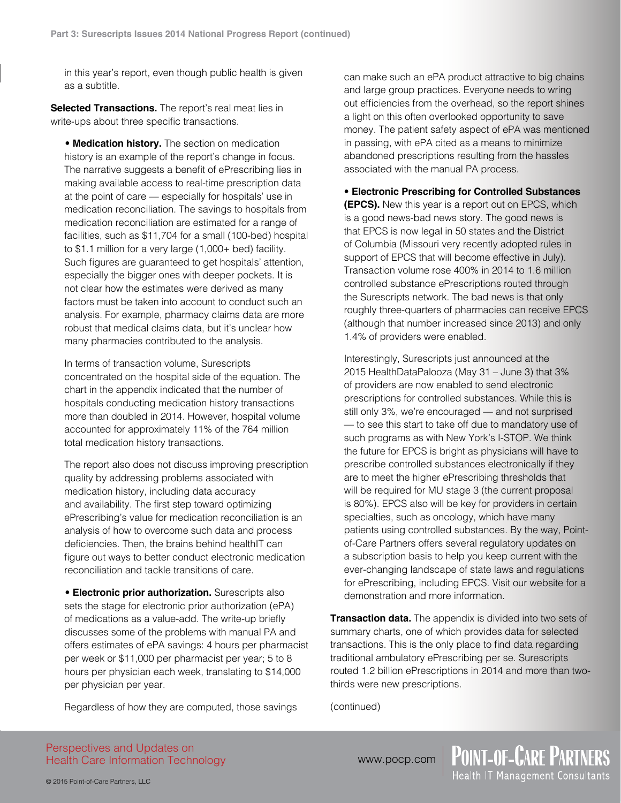in this year's report, even though public health is given as a subtitle.

**Selected Transactions.** The report's real meat lies in write-ups about three specific transactions.

• **Medication history.** The section on medication history is an example of the report's change in focus. The narrative suggests a benefit of ePrescribing lies in making available access to real-time prescription data at the point of care — especially for hospitals' use in medication reconciliation. The savings to hospitals from medication reconciliation are estimated for a range of facilities, such as \$11,704 for a small (100-bed) hospital to \$1.1 million for a very large (1,000+ bed) facility. Such figures are guaranteed to get hospitals' attention, especially the bigger ones with deeper pockets. It is not clear how the estimates were derived as many factors must be taken into account to conduct such an analysis. For example, pharmacy claims data are more robust that medical claims data, but it's unclear how many pharmacies contributed to the analysis.

In terms of transaction volume, Surescripts concentrated on the hospital side of the equation. The chart in the appendix indicated that the number of hospitals conducting medication history transactions more than doubled in 2014. However, hospital volume accounted for approximately 11% of the 764 million total medication history transactions.

The report also does not discuss improving prescription quality by addressing problems associated with medication history, including data accuracy and availability. The first step toward optimizing ePrescribing's value for medication reconciliation is an analysis of how to overcome such data and process deficiencies. Then, the brains behind healthIT can figure out ways to better conduct electronic medication reconciliation and tackle transitions of care.

• **Electronic prior authorization.** Surescripts also sets the stage for electronic prior authorization (ePA) of medications as a value-add. The write-up briefly discusses some of the problems with manual PA and offers estimates of ePA savings: 4 hours per pharmacist per week or \$11,000 per pharmacist per year; 5 to 8 hours per physician each week, translating to \$14,000 per physician per year.

Regardless of how they are computed, those savings

can make such an ePA product attractive to big chains and large group practices. Everyone needs to wring out efficiencies from the overhead, so the report shines a light on this often overlooked opportunity to save money. The patient safety aspect of ePA was mentioned in passing, with ePA cited as a means to minimize abandoned prescriptions resulting from the hassles associated with the manual PA process.

• **Electronic Prescribing for Controlled Substances (EPCS).** New this year is a report out on EPCS, which is a good news-bad news story. The good news is that EPCS is now legal in 50 states and the District of Columbia (Missouri very recently adopted rules in support of EPCS that will become effective in July). Transaction volume rose 400% in 2014 to 1.6 million controlled substance ePrescriptions routed through the Surescripts network. The bad news is that only roughly three-quarters of pharmacies can receive EPCS (although that number increased since 2013) and only 1.4% of providers were enabled.

Interestingly, Surescripts just announced at the 2015 HealthDataPalooza (May 31 – June 3) that 3% of providers are now enabled to send electronic prescriptions for controlled substances. While this is still only 3%, we're encouraged — and not surprised — to see this start to take off due to mandatory use of such programs as with New York's I-STOP. We think the future for EPCS is bright as physicians will have to prescribe controlled substances electronically if they are to meet the higher ePrescribing thresholds that will be required for MU stage 3 (the current proposal is 80%). EPCS also will be key for providers in certain specialties, such as oncology, which have many patients using controlled substances. By the way, Pointof-Care Partners offers several regulatory updates on a subscription basis to help you keep current with the ever-changing landscape of state laws and regulations for ePrescribing, including EPCS. Visit our website for a demonstration and more information.

**Transaction data.** The appendix is divided into two sets of summary charts, one of which provides data for selected transactions. This is the only place to find data regarding traditional ambulatory ePrescribing per se. Surescripts routed 1.2 billion ePrescriptions in 2014 and more than twothirds were new prescriptions.

(continued)

Perspectives and Updates on Health Care Information Technology www.pocp.com | POINT-OF-CARE PARTNERS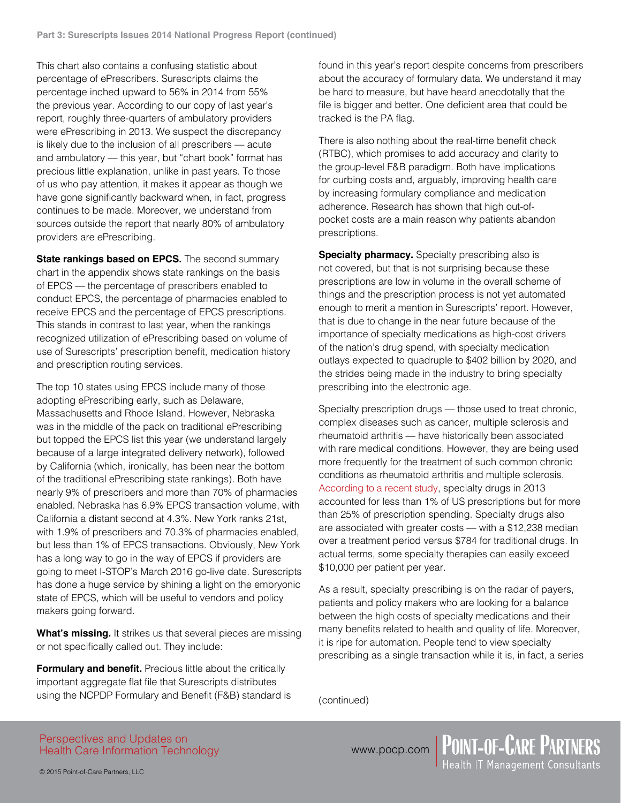This chart also contains a confusing statistic about percentage of ePrescribers. Surescripts claims the percentage inched upward to 56% in 2014 from 55% the previous year. According to our copy of last year's report, roughly three-quarters of ambulatory providers were ePrescribing in 2013. We suspect the discrepancy is likely due to the inclusion of all prescribers — acute and ambulatory — this year, but "chart book" format has precious little explanation, unlike in past years. To those of us who pay attention, it makes it appear as though we have gone significantly backward when, in fact, progress continues to be made. Moreover, we understand from sources outside the report that nearly 80% of ambulatory providers are ePrescribing.

**State rankings based on EPCS.** The second summary chart in the appendix shows state rankings on the basis of EPCS — the percentage of prescribers enabled to conduct EPCS, the percentage of pharmacies enabled to receive EPCS and the percentage of EPCS prescriptions. This stands in contrast to last year, when the rankings recognized utilization of ePrescribing based on volume of use of Surescripts' prescription benefit, medication history and prescription routing services.

The top 10 states using EPCS include many of those adopting ePrescribing early, such as Delaware, Massachusetts and Rhode Island. However, Nebraska was in the middle of the pack on traditional ePrescribing but topped the EPCS list this year (we understand largely because of a large integrated delivery network), followed by California (which, ironically, has been near the bottom of the traditional ePrescribing state rankings). Both have nearly 9% of prescribers and more than 70% of pharmacies enabled. Nebraska has 6.9% EPCS transaction volume, with California a distant second at 4.3%. New York ranks 21st, with 1.9% of prescribers and 70.3% of pharmacies enabled, but less than 1% of EPCS transactions. Obviously, New York has a long way to go in the way of EPCS if providers are going to meet I-STOP's March 2016 go-live date. Surescripts has done a huge service by shining a light on the embryonic state of EPCS, which will be useful to vendors and policy makers going forward.

**What's missing.** It strikes us that several pieces are missing or not specifically called out. They include:

**Formulary and benefit.** Precious little about the critically important aggregate flat file that Surescripts distributes using the NCPDP Formulary and Benefit (F&B) standard is found in this year's report despite concerns from prescribers about the accuracy of formulary data. We understand it may be hard to measure, but have heard anecdotally that the file is bigger and better. One deficient area that could be tracked is the PA flag.

There is also nothing about the real-time benefit check (RTBC), which promises to add accuracy and clarity to the group-level F&B paradigm. Both have implications for curbing costs and, arguably, improving health care by increasing formulary compliance and medication adherence. Research has shown that high out-ofpocket costs are a main reason why patients abandon prescriptions.

**Specialty pharmacy.** Specialty prescribing also is not covered, but that is not surprising because these prescriptions are low in volume in the overall scheme of things and the prescription process is not yet automated enough to merit a mention in Surescripts' report. However, that is due to change in the near future because of the importance of specialty medications as high-cost drivers of the nation's drug spend, with specialty medication outlays expected to quadruple to \$402 billion by 2020, and the strides being made in the industry to bring specialty prescribing into the electronic age.

Specialty prescription drugs — those used to treat chronic, complex diseases such as cancer, multiple sclerosis and rheumatoid arthritis — have historically been associated with rare medical conditions. However, they are being used more frequently for the treatment of such common chronic conditions as rheumatoid arthritis and multiple sclerosis. [According to a recent study,](http://content.healthaffairs.org/content/33/10/1751.abstract) specialty drugs in 2013 accounted for less than 1% of US prescriptions but for more than 25% of prescription spending. Specialty drugs also are associated with greater costs — with a \$12,238 median over a treatment period versus \$784 for traditional drugs. In actual terms, some specialty therapies can easily exceed \$10,000 per patient per year.

As a result, specialty prescribing is on the radar of payers, patients and policy makers who are looking for a balance between the high costs of specialty medications and their many benefits related to health and quality of life. Moreover, it is ripe for automation. People tend to view specialty prescribing as a single transaction while it is, in fact, a series

(continued)

Perspectives and Updates on Health Care Information Technology